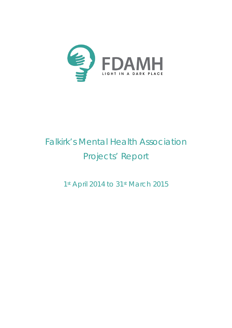

# Falkirk's Mental Health Association Projects' Report

1st April 2014 to 31st March 2015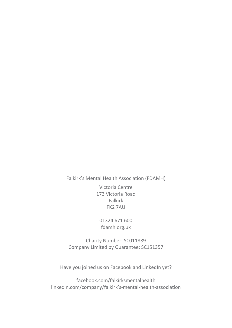Falkirk's Mental Health Association (FDAMH)

Victoria Centre 173 Victoria Road Falkirk FK2 7AU

01324 671 600 fdamh.org.uk

Charity Number: SC011889 Company Limited by Guarantee: SC151357

Have you joined us on Facebook and LinkedIn yet?

[facebook.com/falkirksmentalhealth](https://www.facebook.com/falkirksmentalhealth) [linkedin.com/company/falkirk's-mental-health-association](https://www.linkedin.com/company/falkirk)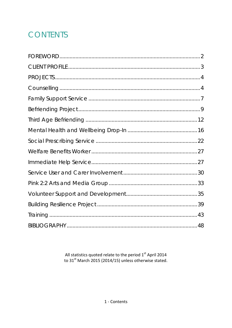# **CONTENTS**

All statistics quoted relate to the period  $1^{st}$  April 2014<br>to 31<sup>st</sup> March 2015 (2014/15) unless otherwise stated.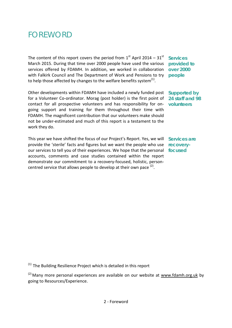# <span id="page-3-0"></span>FOREWORD

The content of this report covers the period from  $1<sup>st</sup>$  April 2014 – 31 $<sup>st</sup>$ </sup> March 2015. During that time over 2000 people have used the various services offered by FDAMH. In addition, we worked in collaboration with Falkirk Council and The Department of Work and Pensions to try to help those affected by changes to the welfare benefits system $<sup>(1)</sup>$ .</sup>

Other developments within FDAMH have included a newly funded post for a Volunteer Co-ordinator. Morag (post holder) is the first point of contact for all prospective volunteers and has responsibility for ongoing support and training for them throughout their time with FDAMH. The magnificent contribution that our volunteers make should not be under-estimated and much of this report is a testament to the work they do.

This year we have shifted the focus of our Project's Report. Yes, we will **Services are**  provide the 'sterile' facts and figures but we want the people who use our services to tell you of their experiences. We hope that the personal **focused** accounts, comments and case studies contained within the report demonstrate our commitment to a recovery-focused, holistic, personcentred service that allows people to develop at their own pace  $(2)$ .

**Services provided to over 2000 people**

**Supported by 24 staff and 98 volunteers** 

**recovery-**

 $(1)$  The Building Resilience Project which is detailed in this report

 $(2)$  Many more personal experiences are available on our website at [www.fdamh.org.uk](http://www.fdamh.org.uk/frm_display/experience) by going to Resources/Experience.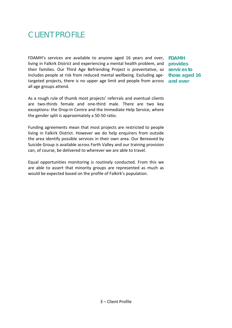# <span id="page-4-0"></span>CLIENT PROFILE

FDAMH's services are available to anyone aged 16 years and over, **FDAMH**  living in Falkirk District and experiencing a mental health problem, and **provides**  their families. Our Third Age Befriending Project is preventative, so **services to**  includes people at risk from reduced mental wellbeing. Excluding age-**those aged 16**  targeted projects, there is no upper age limit and people from across **and over** all age groups attend.

As a rough rule of thumb most projects' referrals and eventual clients are two-thirds female and one-third male. There are two key exceptions: the Drop-In Centre and the Immediate Help Service, where the gender split is approximately a 50-50 ratio.

Funding agreements mean that most projects are restricted to people living in Falkirk District. However we do help enquirers from outside the area identify possible services in their own area. Our Bereaved by Suicide Group is available across Forth Valley and our training provision can, of course, be delivered to wherever we are able to travel.

Equal opportunities monitoring is routinely conducted. From this we are able to assert that minority groups are represented as much as would be expected based on the profile of Falkirk's population.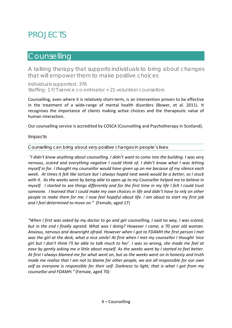# <span id="page-5-0"></span>PROJECTS

### <span id="page-5-1"></span>**Counselling**

A talking therapy that supports individuals to bring about changes that will empower them to make positive choices

Individuals supported: 376 Staffing: 1 F/T service co-ordinator + 21 volunteer counsellors

Counselling, even where it is relatively short-term, is an intervention proven to be effective in the treatment of a wide-range of mental health disorders (Bower, et al. 2011). It recognises the importance of clients making active choices and the therapeutic value of human interaction.

Our counselling service is accredited by COSCA (Counselling and Psychotherapy in Scotland).

#### **Impacts**

Counselling can bring about very positive changes in people's lives:

*"I didn't know anything about counselling. I didn't want to come into the building. I was very nervous, scared and everything negative I could think of. I didn't know what I was letting myself in for. I thought my counsellor would have given up on me because of my silence each week. At times it felt like torture but I always hoped next week would be a better, so I stuck with it. As the weeks went by being able to open up to my Counsellor helped me to believe in myself. I started to see things differently and for the first time in my life I felt I could trust someone. I learned that I could make my own choices in life and didn't have to rely on other people to make them for me. I now feel hopeful about life. I am about to start my first job and I feel determined to move on."* (Female, aged 17)

*"When I first was asked by my doctor to go and get counselling, I said no way, I was scared, but in the end I finally agreed. What was I doing? However I came, a 70 year old woman. Anxious, nervous and downright afraid. However when I got to FDAMH the first person I met was the girl at the desk, what a nice smile! At first when I met my counsellor I thought 'nice girl but I don't think I'll be able to talk much to her'. I was so wrong, she made me feel at ease by gently asking me a little about myself. As the weeks went by I started to feel better. At first I always blamed me for what went on, but as the weeks went on in honesty and truth made me realise that I am not to blame for other people, we are all responsible for our own self as everyone is responsible for their self. Darkness to light, that is what I got from my counsellor and FDAMH."* (Female, aged 70)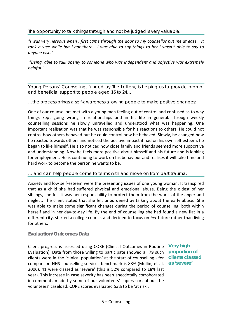#### The opportunity to talk things through and not be judged is very valuable:

*"I was very nervous when I first came through the door so my counsellor put me at ease. It took a wee while but I got there. I was able to say things to her I wasn't able to say to anyone else."*

*"Being, able to talk openly to someone who was independent and objective was extremely helpful."*

Young Persons' Counselling, funded by The Lottery, is helping us to provide prompt and beneficial support to people aged 16 to 24…

#### …the process brings a self-awareness allowing people to make positive changes:

One of our counsellors met with a young man feeling out of control and confused as to why things kept going wrong in relationships and in his life in general. Through weekly counselling sessions he slowly unravelled and understood what was happening. One important realisation was that he was responsible for his reactions to others. He could not control how others behaved but he could control how he behaved. Slowly, he changed how he reacted towards others and noticed the positive impact it had on his own self-esteem: he began to like himself. He also noticed how close family and friends seemed more supportive and understanding. Now he feels more positive about himself and his future and is looking for employment. He is continuing to work on his behaviour and realises it will take time and hard work to become the person he wants to be.

#### … and can help people come to terms with and move on from past trauma:

Anxiety and low self-esteem were the presenting issues of one young woman. It transpired that as a child she had suffered physical and emotional abuse. Being the oldest of her siblings, she felt it was her responsibility to protect them from the worst of the anger and neglect. The client stated that she felt unburdened by talking about the early abuse. She was able to make some significant changes during the period of counselling, both within herself and in her day-to-day life. By the end of counselling she had found a new flat in a different city, started a college course, and decided to focus on *her* future rather than living for others.

#### **Evaluation/Outcomes Data**

Client progress is assessed using CORE (Clinical Outcomes in Routine **Very high**  Evaluation). Data from those willing to participate showed all 79 such clients were in the 'clinical population' at the start of counselling - for **clients classed**  comparison NHS counselling services benchmark is 88% (Mullin, et al. **as 'severe'**2006). 41 were classed as 'severe' (this is 52% compared to 18% last year). This increase in case severity has been anecdotally corroborated in comments made by some of our volunteers' supervisors about the volunteers' caseload. CORE scores evaluated 53% to be 'at risk'.

**proportion of**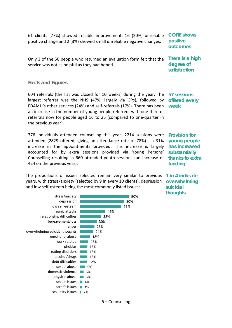61 clients (77%) showed reliable improvement, 16 (20%) unreliable positive change and 2 (3%) showed small unreliable negative changes. **CORE shows positive outcomes**

Only 3 of the 50 people who returned an evaluation form felt that the **There is a high**  service was not as helpful as they had hoped. **degree of satisfaction** 

#### **Facts and Figures**

604 referrals (the list was closed for 10 weeks) during the year. The **57 sessions**  largest referrer was the NHS (47%, largely via GPs), followed by **offered every**  FDAMH's other services (24%) and self-referrals (17%). There has been **week** an increase in the number of young people referred, with one-third of referrals now for people aged 16 to 25 (compared to one-quarter in the previous year).

376 individuals attended counselling this year. 2214 sessions were attended (2829 offered, giving an attendance rate of 78%) - a 31% increase in the appointments provided. This increase is largely accounted for by extra sessions provided via Young Persons' Counselling resulting in 660 attended youth sessions (an increase of **thanks to extra**  424 on the previous year).

The proportions of issues selected remain very similar to previous **1 in 4 indicate**  years, with stress/anxiety (selected by 9 in every 10 clients), depression and low self-esteem being the most commonly listed issues:

2% sexuality issues 3% carer's issues 4% sexual issues physical abuse **6%** 6% domestic violence sexual abuse **19%** 12% debt difficulties  $-13%$ 13%  $\blacksquare$  13% 15% emotional abuse **18%** 24% 26% 30% 38% 46% 75% 80% 90% alcohol/drugs | eating disorders and phobias **The Lines** work related F overwhelming suicidal thoughts anger bereavement/loss D relationship difficulties panic attacks low self-esteem depression stress/anxiety

**Provision for young people has increased substantially funding**

**overwhelming suicidal thoughts**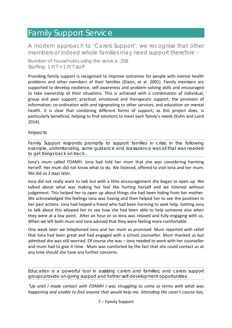### <span id="page-8-0"></span>Family Support Service

A modern approach to 'Carers Support': we recognise that other members or indeed whole families may need support therefore -

Number of households using the service: 258 Staffing: 1 F/T + 1 P/T staff

Providing family support is recognised to improve outcomes for people with mental health problems and other members of their families (Dixon, et al. 2001). Family members are supported to develop resilience, self-awareness and problem-solving skills and encouraged to take ownership of their situations. This is achieved with a combination of individual, group and peer support; practical, emotional and therapeutic support; the provision of information; co-ordination with and signposting to other services; and education on mental health. It is clear that combining different forms of support, as this project does, is particularly beneficial, helping to find solutions to meet each family's needs (Kuhn and Laird 2014).

#### **Impacts**

Family Support responds promptly to support families in crisis: in the following example, understanding, some guidance and reassurance was all that was needed to get things back on track…

Iona's mum called FDAMH. Iona had told her mum that she was considering harming herself. Her mum did not know what to do. We listened, offered to visit Iona and her mum. We did so 2 days later.

Iona did not really want to talk but with a little encouragement she began to open up. We talked about what was making her feel like hurting herself and we listened without judgement. This helped her to open up about things she had been hiding from her mother. We acknowledged the feelings Iona was having and then helped her to see the positives in her past actions. Iona had helped a friend who had been harming to seek help. Getting Iona to talk about this allowed her to see how she had been able to help someone else when they were at a low point. After an hour or so Iona was relaxed and fully engaging with us. When we left both mum and Iona advised that they were feeling more comfortable.

One week later we telephoned Iona and her mum as promised. Mum reported with relief that Iona had been great and had engaged with a school counsellor. Mum thanked us but admitted she was still worried. Of course she was – Iona needed to work with her counsellor and mum had to give it time. Mum was comforted by the fact that she could contact us at any time should she have any further concerns.

Education is a powerful tool in assisting carers and families; and carers support groups provide on-going support and further self-development opportunities:

*"Up until I made contact with FDAMH I was struggling to come to terms with what was happening and unable to find anyone that would help me. Attending the carer's course has,*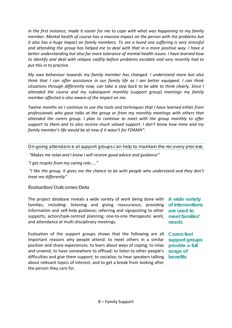*in the first instance, made it easier for me to cope with what was happening to my family member. Mental health of course has a massive impact on the person with the problems but it also has a huge impact on family members. To see a loved one suffering is very stressful and attending the group has helped me to deal with that in a more positive way. I have a better understanding but also far more tolerance of mental health issues. I have learned how to identify and deal with relapse swiftly before problems escalate and very recently had to put this in to practice.*

*My own behaviour towards my family member has changed. I understand more but also think that I can offer assistance in our family life as I am better equipped. I can think situations through differently now, can take a step back to be able to think clearly. Since I attended the course and my subsequent monthly* (support group) *meetings my family member affected is also aware of the impact on me.*

*Twelve months on I continue to use the tools and techniques that I have learned either from professionals who gave talks at the group or from my monthly meetings with others that attended the carers group. I plan to continue to meet with the group monthly to offer support to them and to also receive much valued support. I don't know how mine and my family member's life would be at now if it wasn't for FDAMH".*

On-going attendance at support groups can help to maintain the recovery process:

*"Makes me relax and I know I will receive good advice and guidance"*

*"I get respite from my caring role….."*

*"I like the group, it gives me the chance to be with people who understand and they don't treat me differently"*

#### **Evaluation/Outcomes Data**

The project database reveals a wide variety of work being done with **A wide variety**  families, including: listening and giving reassurance; providing **of interventions**  information and self-help guidance; referring and signposting to other **are used to**  supports; action/task-centred planning; one-to-one therapeutic work; **meet families'**  and attendance at multi-disciplinary meetings.

**needs**

Evaluation of the support groups shows that the following are all **Carers feel** important reasons why people attend: to meet others in a similar position and share experiences; to learn about ways of coping; to relax and unwind; to have somewhere to offload; to listen to other people's difficulties and give them support; to socialise; to hear speakers talking about relevant topics of interest; and to get a break from looking after the person they care for.

**support groups provide a full range of benefits**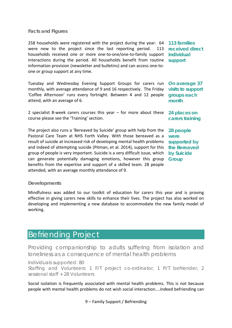#### **Facts and Figures**

258 households were registered with the project during the year: 64 **113 families**  were new to the project since the last reporting period. 113 households received one or more one-to-one/one-to-family support **individual**  interactions during the period. All households benefit from routine **support** information provision (newsletter and bulletins) and can access one-toone or group support at any time.

Tuesday and Wednesday Evening Support Groups for carers run **On average 37**  monthly, with average attendance of 9 and 16 respectively. The Friday **visits to support**  'Coffee Afternoon' runs every fortnight. Between 4 and 12 people attend, with an average of 6.

2 specialist 8-week carers courses this year – for more about these **24 places on**  course please see the 'Training' section.

The project also runs a 'Bereaved by Suicide' group with help from the Pastoral Care Team at NHS Forth Valley. With those bereaved as a result of suicide at increased risk of developing mental health problems and indeed of attempting suicide (Pitman, et al. 2014), support for this **the Bereaved**  group of people is very important. Suicide is a very difficult issue, which can generate potentially damaging emotions, however this group **Group** benefits from the expertise and support of a skilled team. 28 people attended, with an average monthly attendance of 9.

**received direct** 

**groups each month**

**carers training** 

**28 people were supported by by Suicide** 

#### **Developments**

Mindfulness was added to our toolkit of education for carers this year and is proving effective in giving carers new skills to enhance their lives. The project has also worked on developing and implementing a new database to accommodate the new family model of working.

### <span id="page-10-0"></span>Befriending Project

Providing companionship to adults suffering from isolation and loneliness as a consequence of mental health problems

Individuals supported: 80

Staffing and Volunteers: 1 F/T project co-ordinator, 1 P/T befriender, 2 sessional staff + 28 Volunteers

Social isolation is frequently associated with mental health problems. This is not because people with mental health problems do not wish social interaction....indeed befriending can

9 – Family Support / Befriending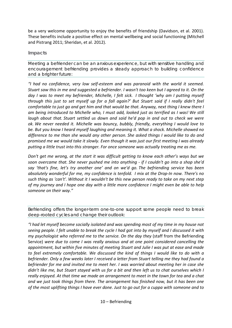be a very welcome opportunity to enjoy the benefits of friendship (Davidson, et al. 2001). These benefits include a positive effect on mental wellbeing and social functioning (Mitchell and Pistrang 2011; Sheridan, et al. 2012).

#### **Impacts**

Meeting a befriender can be an anxious experience, but with sensitive handling and encouragement befriending provides a steady approach to building confidence and a brighter future:

*"I had no confidence, very low self-esteem and was paranoid with the world it seemed. Stuart saw this in me and suggested a befriender. I wasn't too keen but I agreed to it. On the day I was to meet my befriender, Michelle, I felt sick. I thought 'why am I putting myself through this just to set myself up for a fall again?' But Stuart said if I really didn't feel comfortable to just go and get him and that would be that. Anyway, next thing I knew there I am being introduced to Michelle who, I must add, looked just as terrified as I was! We still laugh about that. Stuart settled us down and said he'd pop in and out to check we were ok. We never needed it. Michelle was bouncy, bubbly, friendly, everything I would love to be. But you know I heard myself laughing and meaning it. What a shock. Michelle showed no difference to me than she would any other person. She asked things I would like to do and promised me we would take it slowly. Even though it was just our first meeting I was already putting a little trust into this stranger. For once someone was actually treating me as me.*

*Don't get me wrong, at the start it was difficult getting to know each other's ways but we soon overcame that. She never pushed me into anything - if I couldn't go into a shop she'd say 'that's fine, let's try another one' and on we'd go. The befriending service has been absolutely wonderful for me, my confidence is tenfold. I mix at the Drop-In now. There's no such thing as 'can't'. Without it I wouldn't be this new person ready to take on my next step of my journey and I hope one day with a little more confidence I might even be able to help someone on their way."*

Befriending offers the longer-term one-to-one support some people need to break deep-rooted cycles and change their outlook:

*"I had let myself become socially isolated and was spending most of my time in my house not seeing people. I felt unable to break the cycle I had got into by myself and I discussed it with my psychologist who referred me to the service. On the day they* (staff from the Befriending Service) *were due to come I was really anxious and at one point considered cancelling the appointment, but within five minutes of meeting Stuart and Julie I was put at ease and made to feel extremely comfortable. We discussed the kind of things I would like to do with a befriender. Only a few weeks later I received a letter from Stuart telling me they had found a befriender for me and invited me to meet her. I was worried about meeting her in case she didn't like me, but Stuart stayed with us for a bit and then left us to chat ourselves which I really enjoyed. At that time we made an arrangement to meet in the town for tea and a chat and we just took things from there. The arrangement has finished now, but it has been one of the most uplifting things I have ever done. Just to go out for a cuppa with someone and to*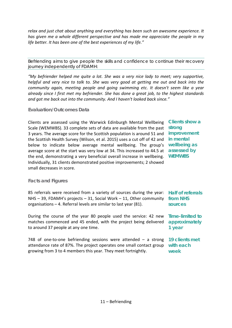*relax and just chat about anything and everything has been such an awesome experience. It has given me a whole different perspective and has made me appreciate the people in my life better. It has been one of the best experiences of my life."*

Befriending aims to give people the skills and confidence to continue their recovery journey independently of FDAMH:

*"My befriender helped me quite a lot. She was a very nice lady to meet; very supportive, helpful and very nice to talk to. She was very good at getting me out and back into the community again, meeting people and going swimming etc. It doesn't seem like a year already since I first met my befriender. She has done a great job, to the highest standards and got me back out into the community. And I haven't looked back since."*

#### **Evaluation/Outcomes Data**

Clients are assessed using the Warwick Edinburgh Mental Wellbeing Scale (WEMWBS). 33 complete sets of data are available from the past 3 years. The average score for the Scottish population is around 51 and **improvement**  the Scottish Health Survey (Wilson, et al. 2015) uses a cut off of 42 and **in mental**  below to indicate below average mental wellbeing. The group's average score at the start was very low at 34. This increased to 44.5 at **assessed by**  the end, demonstrating a very beneficial overall increase in wellbeing. **WEMWBS** Individually, 31 clients demonstrated positive improvements; 2 showed small decreases in score.

**Clients show a strong wellbeing as** 

#### **Facts and Figures**

85 referrals were received from a variety of sources during the year: **Half of referrals**  NHS – 39, FDAMH's projects – 31, Social Work – 11, Other community **from NHS**  organisations – 4. Referral levels are similar to last year (81). **sources**

During the course of the year 80 people used the service: 42 new **Time-limited to**  matches commenced and 45 ended, with the project being delivered to around 37 people at any one time.

748 of one-to-one befriending sessions were attended – a strong attendance rate of 87%. The project operates one small contact group **with each** growing from 3 to 4 members this year. They meet fortnightly. **week**

**approximately 1 year**

**19 clients met**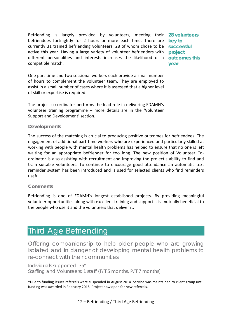Befriending is largely provided by volunteers, meeting their **28 volunteers**  befriendees fortnightly for 2 hours or more each time. There are **key to**  currently 31 trained befriending volunteers, 28 of whom chose to be active this year. Having a large variety of volunteer befrienders with different personalities and interests increases the likelihood of a **outcomes this**  compatible match.

**successful project year**

One part-time and two sessional workers each provide a small number of hours to complement the volunteer team. They are employed to assist in a small number of cases where it is assessed that a higher level of skill or expertise is required.

The project co-ordinator performs the lead role in delivering FDAMH's volunteer training programme – more details are in the 'Volunteer Support and Development' section.

#### **Developments**

The success of the matching is crucial to producing positive outcomes for befriendees. The engagement of additional part-time workers who are experienced and particularly skilled at working with people with mental health problems has helped to ensure that no one is left waiting for an appropriate befriender for too long. The new position of Volunteer Coordinator is also assisting with recruitment and improving the project's ability to find and train suitable volunteers. To continue to encourage good attendance an automatic text reminder system has been introduced and is used for selected clients who find reminders useful.

#### **Comments**

Befriending is one of FDAMH's longest established projects. By providing meaningful volunteer opportunities along with excellent training and support it is mutually beneficial to the people who use it and the volunteers that deliver it.

### <span id="page-13-0"></span>Third Age Befriending

Offering companionship to help older people who are growing isolated and in danger of developing mental health problems to re-connect with their communities

Individuals supported: 35\* Staffing and Volunteers: 1 staff (F/T 5 months, P/T 7 months)

\*Due to funding issues referrals were suspended in August 2014. Service was maintained to client group until funding was awarded in February 2015. Project now open for new referrals.

12 – Befriending / Third Age Befriending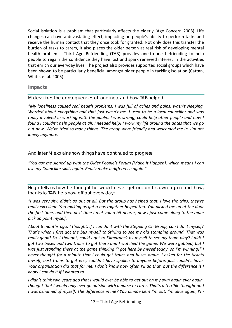Social isolation is a problem that particularly affects the elderly (Age Concern 2008). Life changes can have a devastating effect, impacting on people's ability to perform tasks and receive the human contact that they once took for granted. Not only does this transfer the burden of tasks to carers, it also places the older person at real risk of developing mental health problems. Third Age Befriending (TAB) provides one-to-one befriending to help people to regain the confidence they have lost and spark renewed interest in the activities that enrich our everyday lives. The project also provides supported social groups which have been shown to be particularly beneficial amongst older people in tackling isolation (Cattan, White, et al. 2005).

#### **Impacts**

M describes the consequences of loneliness and how TAB helped…

*"My loneliness caused real health problems. I was full of aches and pains, wasn't sleeping. Worried about everything and that just wasn't me. I used to be a local councillor and was really involved in working with the public. I was strong, could help other people and now I found I couldn't help people at all: I needed help! I work my life around the dates that we go out now. We've tried so many things. The group were friendly and welcomed me in. I'm not lonely anymore."*

#### And later M explains how things have continued to progress:

*"You got me signed up with the Older People's Forum (Make It Happen), which means I can use my Councillor skills again. Really make a difference again."*

Hugh tells us how he thought he would never get out on his own again and how, thanks to TAB, he's now off out every day:

*"I was very shy, didn't go out at all. But the group has helped that. I love the trips, they're really excellent. You making us get a bus together helped too. You picked me up at the door the first time, and then next time I met you a bit nearer; now I just come along to the main pick up point myself.* 

*About 6 months ago, I thought, if I can do it with the Stepping On Group, can I do it myself? That's when I first got the bus myself to Stirling to see my old stomping ground. That was really good! So, I thought, could I get to Kilmarnock by myself to see my team play? I did! I got two buses and two trains to get there and I watched the game. We were gubbed, but I was just standing there at the game thinking "I got here by myself today, so I'm winning!" I never thought for a minute that I could get trains and buses again. I asked for the tickets myself, best trains to get etc., couldn't have spoken to anyone before; just couldn't have. Your organisation did that for me. I don't know how often I'll do that, but the difference is I know I can do it if I wanted to.* 

*I didn't think two years ago that I would ever be able to get out on my own again ever again, thought that I would only ever go outside with a nurse or carer. That's a terrible thought and I was ashamed of myself. The difference in me? You dinnae ken! I'm out, I'm alive again, I'm*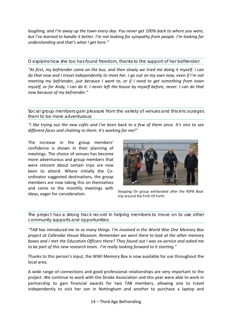*laughing, and I'm away up the town every day. You never get 100% back to where you were, but I've learned to handle it better. I'm not looking for sympathy from people. I'm looking for understanding and that's what I get here."*

D explains how she too has found freedom, thanks to the support of her befriender:

*"At first, my befriender came on the bus, and then slowly we tried me doing it myself. I can do that now and I travel independently to meet her. I go out on my own now, even if I'm not meeting my befriender, just because I want to, or if I need to get something from town myself, or for Andy, I can do it. I never left the house by myself before, never. I can do that now because of my befriender."*

Social group members gain pleasure from the variety of venues and this encourages them to be more adventurous:

*"I like trying out the new cafés and I've been back to a few of them since. It's nice to see different faces and chatting to them. It's working for me!"*

The increase in the group members' confidence is shown in their planning of meetings. The choice of venues has become more adventurous and group members that were reticent about certain trips are now keen to attend. Where initially the Coordinator suggested destinations, the group members are now taking this on themselves and come to the monthly meetings with ideas, eager for consideration. Stepping On group exhilarated after the RSPB Boat ideas, eager for consideration.



trip around the Firth Of Forth.

The project has a strong track record in helping members to move on to use other community supports and opportunities:

*"TAB has introduced me to so many things. I'm involved in the World War One Memory Box project at Callendar House Museum. Remember we went there to look at the other memory boxes and I met the Education Officers there? They found out I was ex-service and asked me to be part of this new research team. I'm really looking forward to it starting."*

Thanks to this person's input, the WWI Memory Box is now available for use throughout the local area.

A wide range of connections and good professional relationships are very important to the project. We continue to work with the Stroke Association and this year were able to work in partnership to gain financial awards for two TAB members, allowing one to travel independently to visit her son in Nottingham and another to purchase a laptop and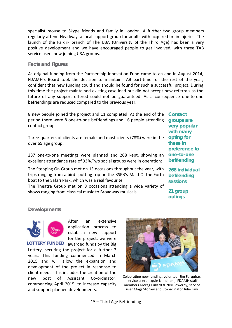specialist mouse to Skype friends and family in London. A further two group members regularly attend Headway, a local support group for adults with acquired brain injuries. The launch of the Falkirk branch of The U3A (University of the Third Age) has been a very positive development and we have encouraged people to get involved, with three TAB service users now joining U3A groups.

#### **Facts and Figures**

As original funding from the Partnership Innovation Fund came to an end in August 2014, FDAMH's Board took the decision to maintain TAB part-time for the rest of the year, confident that new funding could and should be found for such a successful project. During this time the project maintained existing case load but did not accept new referrals as the future of any support offered could not be guaranteed. As a consequence one-to-one befriendings are reduced compared to the previous year.

8 new people joined the project and 11 completed. At the end of the period there were 8 one-to-one befriendings and 16 people attending contact groups.

Three-quarters of clients are female and most clients (78%) were in the over 65 age group.

287 one-to-one meetings were planned and 268 kept, showing an excellent attendance rate of 93%.Two social groups were in operation:

The Stepping On Group met on 13 occasions throughout the year, with trips ranging from a bird spotting trip on the RSPB's Maid O' the Forth boat to the Safari Park, which was a real favourite.

The Theatre Group met on 8 occasions attending a wide variety of shows ranging from classical music to Broadway musicals.

**Contact groups are very popular with many opting for these in preference to one-to-one befriending**

**268 individual befriending sessions** 

**21 group outings**

#### **Developments**



After an extensive application process to establish new support for the project, we were **LOTTERY FUNDED** awarded funds by the Big

Lottery, securing the project for a further 3 years. This funding commenced in March 2015 and will allow the expansion and development of the project in response to client needs. This includes the creation of the new post of Assistant Co-ordinator, commencing April 2015, to increase capacity and support planned developments.



Celebrating new funding: volunteer Jim Farquhar, service user Jacquie Needham, FDAMH staff members Morag Fullard & Neil Sowerby, service user Mags Storrey and Co-ordinator Julie Law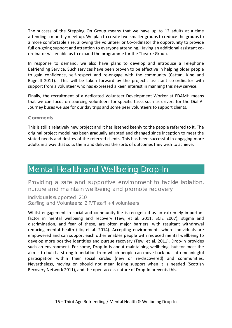The success of the Stepping On Group means that we have up to 12 adults at a time attending a monthly meet up. We plan to create two smaller groups to reduce the groups to a more comfortable size, allowing the volunteer or Co-ordinator the opportunity to provide full on-going support and attention to everyone attending. Having an additional assistant coordinator will enable us to expand the programme for the Theatre Group.

In response to demand, we also have plans to develop and introduce a Telephone Befriending Service. Such services have been proven to be effective in helping older people to gain confidence, self-respect and re-engage with the community (Cattan, Kine and Bagnall 2011). This will be taken forward by the project's assistant co-ordinator with support from a volunteer who has expressed a keen interest in manning this new service.

Finally, the recruitment of a dedicated Volunteer Development Worker at FDAMH means that we can focus on sourcing volunteers for specific tasks such as drivers for the Dial-A-Journey buses we use for our day trips and some peer volunteers to support clients.

#### **Comments**

This is still a relatively new project and it has listened keenly to the people referred to it. The original project model has been gradually adapted and changed since inception to meet the stated needs and desires of the referred clients. This has been successful in engaging more adults in a way that suits them and delivers the sorts of outcomes they wish to achieve.

### <span id="page-17-0"></span>Mental Health and Wellbeing Drop-In

Providing a safe and supportive environment to tackle isolation, nurture and maintain wellbeing and promote recovery

Individuals supported: 210 Staffing and Volunteers: 2 P/T staff + 4 volunteers

Whilst engagement in social and community life is recognised as an extremely important factor in mental wellbeing and recovery (Tew, et al. 2011; SCIE 2007), stigma and discrimination, and fear of these, are often major barriers, with resultant withdrawal reducing mental health (Ilic, et al. 2014). Accepting environments where individuals are empowered and can support each other enables people with reduced mental wellbeing to develop more positive identities and pursue recovery (Tew, et al. 2011). Drop-In provides such an environment. For some, Drop-In is about maintaining wellbeing, but for most the aim is to build a strong foundation from which people can move back out into meaningful participation within their social circles (new or re-discovered) and communities. Nevertheless, moving on should not mean losing support when it is needed (Scottish Recovery Network 2011), and the open-access nature of Drop-In prevents this.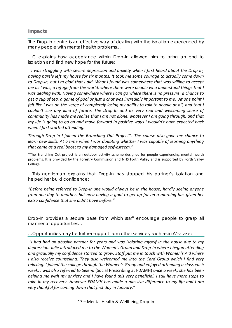#### **Impacts**

The Drop-In centre is an effective way of dealing with the isolation experienced by many people with mental health problems…

…C explains how acceptance within Drop-In allowed him to bring an end to isolation and find new hope for the future:

*"I was struggling with severe depression and anxiety when I first heard about the Drop-In, having barely left my house for six months. It took me some courage to actually come down to Drop-In, but I'm glad that I did. What I found was somewhere that was willing to accept me as I was, a refuge from the world, where there were people who understood things that I was dealing with. Having somewhere where I can go where there is no pressure, a chance to get a cup of tea, a game of pool or just a chat was incredibly important to me. At one point I felt like I was on the verge of completely losing my ability to talk to people at all, and that I couldn't see any kind of future. The Drop-In and its very real and welcoming sense of community has made me realise that I am not alone, whatever I am going through, and that my life is going to go on and move forward in positive ways I wouldn't have expected back when I first started attending.*

*Through Drop-In I joined the Branching Out Project*\**. The course also gave me chance to learn new skills. At a time when I was doubting whether I was capable of learning anything that came as a real boost to my damaged self-esteem."* 

\*The Branching Out project is an outdoor activity scheme designed for people experiencing mental health problems. It is provided by the Forestry Commission and NHS Forth Valley and is supported by Forth Valley College.

…This gentleman explains that Drop-In has stopped his partner's isolation and helped her build confidence:

*"Before being referred to Drop-In she would always be in the house, hardly seeing anyone from one day to another, but now having a goal to get up for on a morning has given her extra confidence that she didn't have before."*

Drop-In provides a secure base from which staff encourage people to grasp all manner of opportunities…

…Opportunities may be further support from other services, such as in A's case:

*"I had had an abusive partner for years and was isolating myself in the house due to my depression. Julie introduced me to the Women's Group and Drop-In where I began attending and gradually my confidence started to grow. Staff put me in touch with Women's Aid where I also receive counselling. They also welcomed me into the Card Group which I find very relaxing. I joined the college through the Women's Group and enjoyed attending a class each week. I was also referred to Selena* (Social Prescribing at FDAMH) *once a week, she has been helping me with my anxiety and I have found this very beneficial. I still have more steps to take in my recovery. However FDAMH has made a massive difference to my life and I am very thankful for coming down that first day in January."*

17 – Mental Health & Wellbeing Drop-In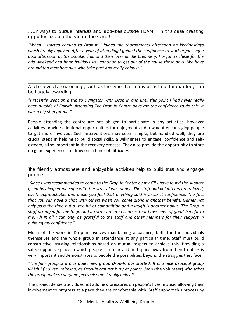…Or ways to pursue interests and activities outside FDAMH, in this case creating opportunities for others to do the same!

*"When I started coming to Drop-In I joined the tournaments afternoon on Wednesdays which I really enjoyed. After a year of attending I gained the confidence to start organising a pool afternoon at the snooker hall and then later at the Creamery. I organise these for the odd weekend and bank holidays so I continue to get out of the house these days. We have around ten members plus who take part and really enjoy it."*

A also reveals how outings, such as the type that many of us take for granted, can be hugely rewarding:

*"I recently went on a trip to Livingston with Drop In and until this point I had never really been outside of Falkirk. Attending The Drop-In Centre gave me the confidence to do this. It was a big step for me."*

People attending the centre are not obliged to participate in any activities, however activities provide additional opportunities for enjoyment and a way of encouraging people to get more involved. Such interventions may seem simple, but handled well, they are crucial steps in helping to build social skills, a willingness to engage, confidence and selfesteem, all so important in the recovery process. They also provide the opportunity to store up good experiences to draw on in times of difficulty.

The friendly atmosphere and enjoyable activities help to build trust and engage people:

*"Since I was recommended to come to the Drop-In Centre by my GP I have found the support given has helped me cope with the stress I was under. The staff and volunteers are relaxed, easily approachable and make you feel that anything said is in strict confidence. The fact that you can have a chat with others when you come along is another benefit. Games not only pass the time but a wee bit of competition and a laugh is another bonus. The Drop-In staff arranged for me to go on two stress-related courses that have been of great benefit to me. All in all I can only be grateful to the staff and other members for their support in building my confidence."*

Much of the work in Drop-In involves maintaining a balance, both for the individuals themselves and the whole group in attendance at any particular time. Staff must build constructive, trusting relationships based on mutual respect to achieve this. Providing a safe, supportive place in which people can relax and find space away from their troubles is very important and demonstrates to people the possibilities beyond the struggles they face.

*"The film group is a nice quiet new group Drop-In has started. It is a nice peaceful group which I find very relaxing, as Drop-In can get busy at points. John* (the volunteer) *who takes the group makes everyone feel welcome. I really enjoy it."*

The project deliberately does not add new pressures on people's lives, instead allowing their involvement to progress at a pace they are comfortable with. Staff support this process by

18 – Mental Health & Wellbeing Drop-In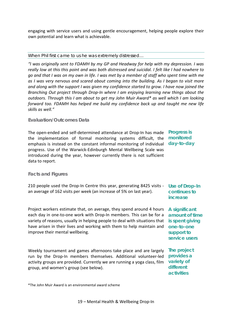engaging with service users and using gentle encouragement, helping people explore their own potential and learn what is achievable.

#### When Phil first came to us he was extremely distressed…

*"I was originally sent to FDAMH by my GP and Headway for help with my depression. I was really low at this this point and was both distressed and suicidal. I felt like I had nowhere to go and that I was on my own in life. I was met by a member of staff who spent time with me as I was very nervous and scared about coming into the building. As I began to visit more and along with the support I was given my confidence started to grow. I have now joined the Branching Out project through Drop-In where I am enjoying learning new things about the outdoors. Through this I am about to get my John Muir Award\* as well which I am looking forward too. FDAMH has helped me build my confidence back up and taught me new life skills as well."*

#### **Evaluation/Outcomes Data**

The open-ended and self-determined attendance at Drop-In has made the implementation of formal monitoring systems difficult, the emphasis is instead on the constant informal monitoring of individual **day-to-day** progress. Use of the Warwick-Edinburgh Mental Wellbeing Scale was introduced during the year, however currently there is not sufficient data to report.

**Progress is monitored** 

#### **Facts and Figures**

210 people used the Drop-In Centre this year, generating 8425 visits - **Use of Drop-In**  an average of 162 visits per week (an increase of 5% on last year).

Project workers estimate that, on average, they spend around 4 hours each day in one-to-one work with Drop-In members. This can be for a variety of reasons, usually in helping people to deal with situations that **is spent giving**  have arisen in their lives and working with them to help maintain and improve their mental wellbeing.

Weekly tournament and games afternoons take place and are largely **The project**  run by the Drop-In members themselves. Additional volunteer-led activity groups are provided. Currently we are running a yoga class, film group, and women's group (see below).

**continues to increase**

**A significant amount of time one-to-one support to service users**

**provides a variety of different activities**

\*The John Muir Award is an environmental award scheme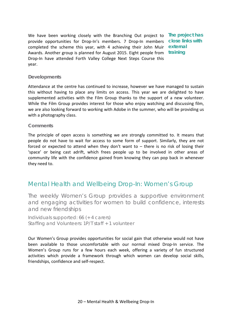We have been working closely with the Branching Out project to **The project has**  provide opportunities for Drop-In's members. 7 Drop-In members **close links with**  completed the scheme this year, with 4 achieving their John Muir **external**  Awards. Another group is planned for August 2015. Eight people from **training** Drop-In have attended Forth Valley College Next Steps Course this year.

#### **Developments**

Attendance at the centre has continued to increase, however we have managed to sustain this without having to place any limits on access. This year we are delighted to have supplemented activities with the Film Group thanks to the support of a new volunteer. While the Film Group provides interest for those who enjoy watching and discussing film, we are also looking forward to working with Adobe in the summer, who will be providing us with a photography class.

#### **Comments**

The principle of open access is something we are strongly committed to. It means that people do not have to wait for access to some form of support. Similarly, they are not forced or expected to attend when they don't want to – there is no risk of losing their 'space' or being cast adrift, which frees people up to be involved in other areas of community life with the confidence gained from knowing they can pop back in whenever they need to.

### Mental Health and Wellbeing Drop-In: Women's Group

The weekly Women's Group provides a supportive environment and engaging activities for women to build confidence, interests and new friendships

Individuals supported: 66 (+ 4 carers) Staffing and Volunteers: 1P/T staff + 1 volunteer

Our Women's Group provides opportunities for social gain that otherwise would not have been available to those uncomfortable with our normal mixed Drop-In service. The Women's Group runs for a few hours each week, offering a variety of fun structured activities which provide a framework through which women can develop social skills, friendships, confidence and self-respect.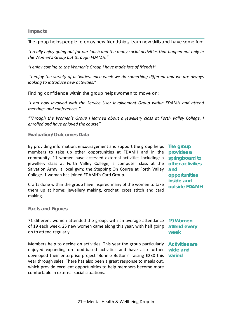#### **Impacts**

The group helps people to enjoy new friendships, learn new skills and have some fun:

*"I really enjoy going out for our lunch and the many social activities that happen not only in the Women's Group but through FDAMH."*

*"I enjoy coming to the Women's Group I have made lots of friends!"*

*"I enjoy the variety of activities, each week we do something different and we are always looking to introduce new activities."*

Finding confidence within the group helps women to move on:

*"I am now involved with the Service User Involvement Group within FDAMH and attend meetings and conferences."*

*"Through the Women's Group I learned about a jewellery class at Forth Valley College. I enrolled and have enjoyed the course"*

#### **Evaluation/Outcomes Data**

By providing information, encouragement and support the group helps **The group**  members to take up other opportunities at FDAMH and in the **provides a**  community. 11 women have accessed external activities including: a jewellery class at Forth Valley College; a computer class at the **other activities**  Salvation Army; a local gym; the Stepping On Course at Forth Valley **and**  College. 1 woman has joined FDAMH's Card Group.

Crafts done within the group have inspired many of the women to take them up at home: jewellery making, crochet, cross stitch and card making.

**springboard to opportunities inside and outside FDAMH**

#### **Facts and Figures**

71 different women attended the group, with an average attendance **19 Women**  of 19 each week. 25 new women came along this year, with half going **attend every**  on to attend regularly.

Members help to decide on activities. This year the group particularly **Activities are**  enjoyed expanding on food-based activities and have also further **wide and**  developed their enterprise project 'Bonnie Buttons' raising £230 this **varied**year through sales. There has also been a great response to meals out, which provide excellent opportunities to help members become more comfortable in external social situations.

**week**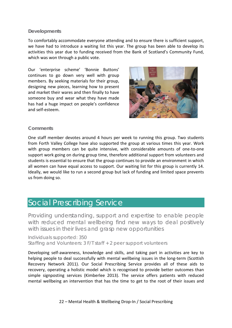#### **Developments**

To comfortably accommodate everyone attending and to ensure there is sufficient support, we have had to introduce a waiting list this year. The group has been able to develop its activities this year due to funding received from the Bank of Scotland's Community Fund, which was won through a public vote.

Our 'enterprise scheme' 'Bonnie Buttons' continues to go down very well with group members. By seeking materials for their group, designing new pieces, learning how to present and market their wares and then finally to have someone buy and wear what they have made has had a huge impact on people's confidence and self-esteem.



#### **Comments**

One staff member devotes around 4 hours per week to running this group. Two students from Forth Valley College have also supported the group at various times this year. Work with group members can be quite intensive, with considerable amounts of one-to-one support work going on during group time, therefore additional support from volunteers and students is essential to ensure that the group continues to provide an environment in which all women can have equal access to support. Our waiting list for this group is currently 14. Ideally, we would like to run a second group but lack of funding and limited space prevents us from doing so.

### <span id="page-23-0"></span>Social Prescribing Service

Providing understanding, support and expertise to enable people with reduced mental wellbeing find new ways to deal positively with issues in their lives and grasp new opportunities

Individuals supported: 350 Staffing and Volunteers: 3 F/T staff + 2 peer support volunteers

Developing self-awareness, knowledge and skills, and taking part in activities are key to helping people to deal successfully with mental wellbeing issues in the long-term (Scottish Recovery Network 2011). Our Social Prescribing Service provides all of these aids to recovery, operating a holistic model which is recognised to provide better outcomes than simple signposting services (Kimberlee 2013). The service offers patients with reduced mental wellbeing an intervention that has the time to get to the root of their issues and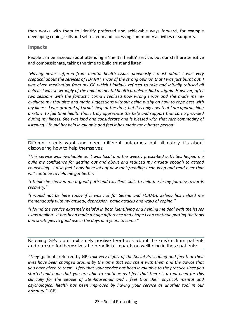then works with them to identify preferred and achievable ways forward, for example developing coping skills and self-esteem and accessing community activities or supports.

#### **Impacts**

People can be anxious about attending a 'mental health' service, but our staff are sensitive and compassionate, taking the time to build trust and listen:

*"Having never suffered from mental health issues previously I must admit I was very sceptical about the services of FDAMH. I was of the strong opinion that I was just burnt out. I was given medication from my GP which I initially refused to take and initially refused all help as I was so wrongly of the opinion mental health problems had a stigma. However, after two sessions with the fantastic Lorna I realised how wrong I was and she made me reevaluate my thoughts and made suggestions without being pushy on how to cope best with my illness. I was grateful of Lorna's help at the time, but it is only now that I am approaching a return to full time health that I truly appreciate the help and support that Lorna provided during my illness. She was kind and considerate and is blessed with that rare commodity of listening. I found her help invaluable and feel it has made me a better person"*

Different clients want and need different outcomes, but ultimately it's about discovering how to help themselves:

*"This service was invaluable as it was local and the weekly prescribed activities helped me build my confidence for getting out and about and reduced my anxiety enough to attend counselling. I also feel I now have lots of new tools/reading I can keep and read over that will continue to help me get better."*

*"I think she showed me a good path and excellent skills to help me in my journey towards recovery."*

*"I would not be here today if it was not for Selena and FDAMH. Selena has helped me tremendously with my anxiety, depression, panic attacks and ways of coping."*

*"I found the service extremely helpful in both identifying and helping me deal with the issues I was dealing. It has been made a huge difference and I hope I can continue putting the tools and strategies to good use in the days and years to come."*

Referring GPs report extremely positive feedback about the service from patients and can see for themselves the beneficial impacts on wellbeing in these patients:

*"They* (patients referred by GP) *talk very highly of the Social Prescribing and feel that their lives have been changed around by the time that you spent with them and the advice that you have given to them. I feel that your service has been invaluable to the practice since you started and hope that you are able to continue as I feel that there is a real need for this clinically for the people of Stenhousemuir and I feel that their physical, mental and psychological health has been improved by having your service as another tool in our armoury."* (GP)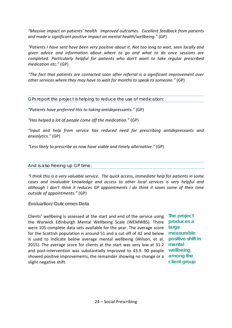*"Massive impact on patients' health. Improved outcomes. Excellent feedback from patients and made a significant positive impact on mental health/wellbeing."* (GP)

*"Patients I have sent have been very positive about it. Not too long to wait, seen locally and given advice and information about where to go and what to do once sessions are completed. Particularly helpful for patients who don't want to take regular prescribed medication etc."* (GP)

*"The fact that patients are contacted soon after referral is a significant improvement over other services where they may have to wait for months to speak to someone."* (GP)

GPs report the project is helping to reduce the use of medication:

*"Patients have preferred this to taking antidepressants."* (GP)

*"Has helped a lot of people come off the medication."* (GP)

*"Input and help from service has reduced need for prescribing antidepressants and anxiolytics."* (GP)

*"Less likely to prescribe as now have viable and timely alternative."* (GP)

#### And is also freeing-up GP time:

*"I think this is a very valuable service. The quick access, immediate help for patients in some cases and invaluable knowledge and access to other local services is very helpful and although I don't think it reduces GP appointments I do think it saves some of their time outside of appointments."* (GP)

**Evaluation/Outcomes Data**

Clients' wellbeing is assessed at the start and end of the service using **The project**  the Warwick Edinburgh Mental Wellbeing Scale (WEMWBS). There **produces a**  were 105 complete data sets available for the year. The average score **large**  for the Scottish population is around 51 and a cut off of 42 and below **measurable**  is used to indicate below average mental wellbeing (Wilson, et al. **positive shift in**  2015). The average score for clients at the start was very low at 31.2 **mental**  and post-intervention was substantially improved to 43.9. 90 people **wellbeing**  showed positive improvements, the remainder showing no change or a **among the**  slight negative shift.

**client group**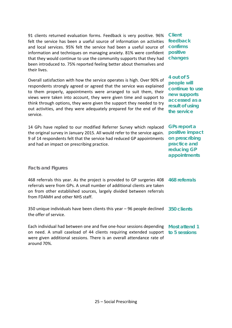91 clients returned evaluation forms. Feedback is very positive. 96% felt the service has been a useful source of information on activities and local services. 95% felt the service had been a useful source of **confirms** information and techniques on managing anxiety. 81% were confident **positive** that they would continue to use the community supports that they had been introduced to. 75% reported feeling better about themselves and their lives.

Overall satisfaction with how the service operates is high. Over 90% of respondents strongly agreed or agreed that the service was explained to them properly, appointments were arranged to suit them, their views were taken into account, they were given time and support to think through options, they were given the support they needed to try out activities, and they were adequately prepared for the end of the service.

14 GPs have replied to our modified Referrer Survey which replaced the original survey in January 2015. All would refer to the service again. 9 of 14 respondents felt that the service had reduced GP appointments and had an impact on prescribing practice.

# **feedback changes**

**Client** 

**4 out of 5 people will continue to use new supports accessed as a result of using the service**

**GPs report a positive impact on prescribing practice and reducing GP appointments**

#### **Facts and Figures**

| 468 referrals this year. As the project is provided to GP surgeries 408 468 referrals<br>referrals were from GPs. A small number of additional clients are taken |  |
|------------------------------------------------------------------------------------------------------------------------------------------------------------------|--|
| on from other established sources, largely divided between referrals<br>from FDAMH and other NHS staff.                                                          |  |

350 unique individuals have been clients this year – 96 people declined **350 clients** the offer of service.

Each individual had between one and five one-hour sessions depending **Most attend 1**  on need. A small caseload of 44 clients requiring extended support **to 5 sessions**were given additional sessions. There is an overall attendance rate of around 70%.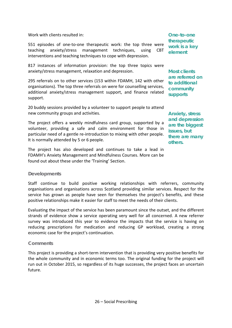Work with clients resulted in:

551 episodes of one-to-one therapeutic work: the top three were teaching anxiety/stress management techniques, using CBT interventions and teaching techniques to cope with depression.

817 instances of information provision: the top three topics were anxiety/stress management, relaxation and depression.

295 referrals on to other services (153 within FDAMH, 142 with other organisations). The top three referrals on were for counselling services, additional anxiety/stress management support, and finance related support.

20 buddy sessions provided by a volunteer to support people to attend new community groups and activities.

The project offers a weekly mindfulness card group, supported by a volunteer, providing a safe and calm environment for those in particular need of a gentle re-introduction to mixing with other people. It is normally attended by 5 or 6 people.

The project has also developed and continues to take a lead in FDAMH's Anxiety Management and Mindfulness Courses. More can be found out about these under the 'Training' Section.

#### **Developments**

Staff continue to build positive working relationships with referrers, community organisations and organisations across Scotland providing similar services. Respect for the service has grown as people have seen for themselves the project's benefits, and these positive relationships make it easier for staff to meet the needs of their clients.

Evaluating the impact of the service has been paramount since the outset, and the different strands of evidence show a service operating very well for all concerned. A new referrer survey was introduced this year to evidence the impacts that the service is having on reducing prescriptions for medication and reducing GP workload, creating a strong economic case for the project's continuation.

#### **Comments**

This project is providing a short-term intervention that is providing very positive benefits for the whole community and in economic terms too. The original funding for the project will run out in October 2015, so regardless of its huge successes, the project faces an uncertain future.

**One-to-one therapeutic work is a key element**

**Most clients are referred on to additional community supports**

**Anxiety, stress and depression are the biggest issues, but there are many others.**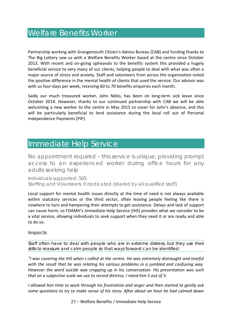### <span id="page-28-0"></span>Welfare Benefits Worker

Partnership working with Grangemouth Citizen's Advice Bureau (CAB) and funding thanks to The Big Lottery saw us with a Welfare Benefits Worker based at the centre since October 2013. With recent and on-going upheavals to the benefits system this provided a hugely beneficial service to very many of our clients, helping people to deal with what was often a major source of stress and anxiety. Staff and volunteers from across the organisation noted the positive difference in the mental health of clients that used the service. Our advisor was with us four-days per week, receiving 60 to 70 benefits enquiries each month.

Sadly our much treasured worker, John Niblo, has been on long-term sick leave since October 2014. However, thanks to our continued partnership with CAB we will be able welcoming a new worker to the centre in May 2015 to cover for John's absence, and this will be particularly beneficial to lend assistance during the local roll out of Personal Independence Payments (PIP).

### <span id="page-28-1"></span>Immediate Help Service

No appointment required – this service is unique, providing prompt access to an experienced worker during office hours for any adults seeking help

Individuals supported: 505 Staffing and Volunteers: 0 dedicated (shared by all qualified staff)

Local support for mental health issues directly at the time of need is not always available within statutory services or the third sector, often leaving people feeling like there is nowhere to turn and hampering their attempts to get assistance. Delays and lack of support can cause harm, so FDAMH's Immediate Help Service (IHS) provides what we consider to be a vital service, allowing individuals to seek support when they need it or are ready and able to do so.

#### **Impacts**

Staff often have to deal with people who are in extreme distress, but they use their skills to reassure and calm people so that ways forward can be identified:

*"I was covering the IHS when J called at the centre. He was extremely distraught and tearful with the result that he was relating his various problems in a jumbled and confusing way. However the word suicide was cropping up in his conversation. His presentation was such that on a subjective scale we use to record distress, I rated him 5 out of 5.*

*I allowed him time to work through his frustration and anger and then started to gently ask some questions to try to make sense of his story. After about an hour he had calmed down* 

27 – Welfare Benefits / Immediate Help Service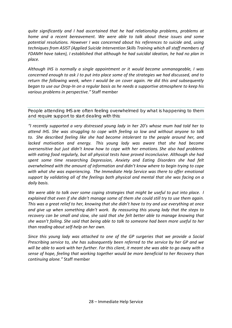*quite significantly and I had ascertained that he had relationship problems, problems at home and a recent bereavement. We were able to talk about these issues and some potential resolutions. However I was concerned about his references to suicide and, using techniques from ASIST (Applied Suicide Intervention Skills Training which all staff members of FDAMH have taken), I established that although he had suicidal ideation, he had no plan in place.*

*Although IHS is normally a single appointment or it would become unmanageable, I was concerned enough to ask J to put into place some of the strategies we had discussed, and to return the following week, when I would be on cover again. He did this and subsequently began to use our Drop-In on a regular basis as he needs a supportive atmosphere to keep his various problems in perspective."* Staff member

People attending IHS are often feeling overwhelmed by what is happening to them and require support to start dealing with this:

*"I recently supported a very distressed young lady in her 20's whose mum had told her to attend IHS. She was struggling to cope with feeling so low and without anyone to talk to. She described feeling like she had become intolerant to the people around her, and lacked motivation and energy. This young lady was aware that she had become oversensitive but just didn't know how to cope with her emotions. She also had problems with eating food regularly, but all physical tests have proved inconclusive. Although she had spent some time researching Depression, Anxiety and Eating Disorders she had felt overwhelmed with the amount of information and didn't know where to begin trying to cope with what she was experiencing. The Immediate Help Service was there to offer emotional support by validating all of the feelings both physical and mental that she was facing on a daily basis.*

*We were able to talk over some coping strategies that might be useful to put into place. I explained that even if she didn't manage some of them she could still try to use them again. This was a great relief to her, knowing that she didn't have to try and use everything at once and give up when something didn't work. By reassuring this young lady that the steps to recovery can be small and slow, she said that she felt better able to manage knowing that she wasn't failing. She said that being able to talk to someone had been more useful to her than reading about self-help on her own.*

*Since this young lady was attached to one of the GP surgeries that we provide a Social Prescribing service to, she has subsequently been referred to the service by her GP and we will be able to work with her further. For this client, it meant she was able to go away with a sense of hope, feeling that working together would be more beneficial to her Recovery than continuing alone."* Staff member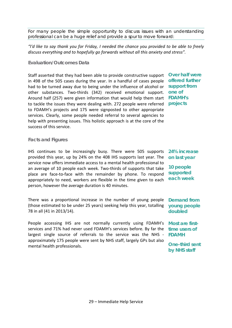For many people the simple opportunity to discuss issues with an understanding professional can be a huge relief and provide a spur to move forward:

#### *"I'd like to say thank you for Friday, I needed the chance you provided to be able to freely discuss everything and to hopefully go forwards without all this anxiety and stress".*

#### **Evaluation/Outcomes Data**

Staff asserted that they had been able to provide constructive support **Over half were**  in 498 of the 505 cases during the year. In a handful of cases people had to be turned away due to being under the influence of alcohol or **support from**  other substances. Two-thirds (342) received emotional support. Around half (257) were given information that would help them start **FDAMH's**  to tackle the issues they were dealing with. 272 people were referred **projects** to FDAMH's projects and 175 were signposted to other appropriate services. Clearly, some people needed referral to several agencies to help with presenting issues. This holistic approach is at the core of the success of this service.

#### **Facts and Figures**

IHS continues to be increasingly busy. There were 505 supports provided this year, up by 24% on the 408 IHS supports last year. The service now offers immediate access to a mental health professional to an average of 10 people each week. Two-thirds of supports that take place are face-to-face with the remainder by phone. To respond appropriately to need, workers are flexible in the time given to each person, however the average duration is 40 minutes.

There was a proportional increase in the number of young people **Demand from**  (those estimated to be under 25 years) seeking help this year, totalling 78 in all (41 in 2013/14).

People accessing IHS are not normally currently using FDAMH's services and 71% had never used FDAMH's services before. By far the largest single source of referrals to the service was the NHS approximately 175 people were sent by NHS staff, largely GPs but also mental health professionals.

**offered further one of** 

**24% increase on last year**

**10 people supported each week**

**young people doubled**

**Most are firsttime users of FDAMH**

**One-third sent by NHS staff**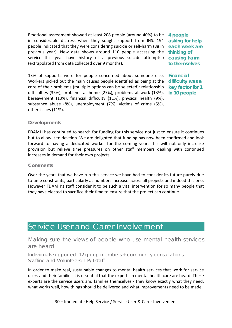Emotional assessment showed at least 208 people (around 40%) to be **4 people**  in considerable distress when they sought support from IHS. 194 people indicated that they were considering suicide or self-harm (88 in previous year). New data shows around 110 people accessing the **thinking of**  service this year have history of a previous suicide attempt(s) **causing harm**  (extrapolated from data collected over 9 months).

**asking for help each week are to themselves**

13% of supports were for people concerned about someone else. **Financial**  Workers picked out the main causes people identified as being at the core of their problems (multiple options can be selected): relationship difficulties (35%), problems at home (27%), problems at work (13%), bereavement (13%), financial difficulty (11%), physical health (9%), substance abuse (8%), unemployment (7%), victims of crime (5%), other issues (11%).

**difficulty was a key factor for 1 in 10 people**

#### **Developments**

FDAMH has continued to search for funding for this service not just to ensure it continues but to allow it to develop. We are delighted that funding has now been confirmed and look forward to having a dedicated worker for the coming year. This will not only increase provision but relieve time pressures on other staff members dealing with continued increases in demand for their own projects.

#### **Comments**

Over the years that we have run this service we have had to consider its future purely due to time constraints, particularly as numbers increase across all projects and indeed this one. However FDAMH's staff consider it to be such a vital intervention for so many people that they have elected to sacrifice their time to ensure that the project can continue.

### <span id="page-31-0"></span>Service User and Carer Involvement

Making sure the views of people who use mental health services are heard

Individuals supported: 12 group members + community consultations Staffing and Volunteers: 1 P/T staff

In order to make real, sustainable changes to mental health services that work for service users and their families it is essential that the experts in mental health care are heard. These experts are the service users and families themselves - they know exactly what they need, what works well, how things should be delivered and what improvements need to be made.

30 – Immediate Help Service / Service User & Carer Involvement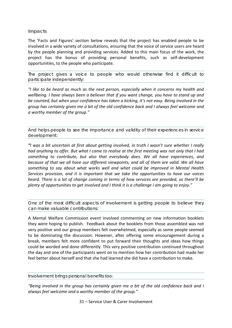#### **Impacts**

The 'Facts and Figures' section below reveals that the project has enabled people to be involved in a wide variety of consultations, ensuring that the voice of service users are heard by the people planning and providing services. Added to this main focus of the work, the project has the bonus of providing personal benefits, such as self-development opportunities, to the people who participate.

The project gives a voice to people who would otherwise find it difficult to participate independently:

*"I like to be heard as much as the next person, especially when it concerns my health and wellbeing. I have always been a believer that if you want change, you have to stand up and be counted, but when your confidence has taken a kicking, it's not easy. Being involved in the group has certainly given me a bit of the old confidence back and I always feel welcome and a worthy member of the group."*

And helps people to see the importance and validity of their experiences in service development:

*"I was a bit uncertain at first about getting involved, in truth I wasn't sure whether I really had anything to offer. But what I came to realise at the first meeting was not only that I had something to contribute, but also that everybody does. We all have experiences, and because of that we all have our different viewpoints, and all of them are valid. We all have something to say about what works well and what could be improved in Mental Health Services provision, and it is important that we take the opportunities to have our voices heard. There is a lot of change coming in terms of how services are provided, so there'll be plenty of opportunities to get involved and I think it is a challenge I am going to enjoy."*

One of the most difficult aspects of involvement is getting people to believe they can make valuable contributions:

A Mental Welfare Commission event involved commenting on new information booklets they were hoping to publish. Feedback about the booklets from those assembled was not very positive and our group members felt overwhelmed, especially as some people seemed to be dominating the discussion. However, after offering some encouragement during a break, members felt more confident to put forward their thoughts and ideas how things could be worded and done differently. This very positive contribution continued throughout the day and one of the participants went on to mention how her contribution had made her feel better about herself and that she had learned she did have a contribution to make.

Involvement brings personal benefits too:

*"Being involved in the group has certainly given me a bit of the old confidence back and I always feel welcome and a worthy member of the group."*

31 – Service User & Carer Involvement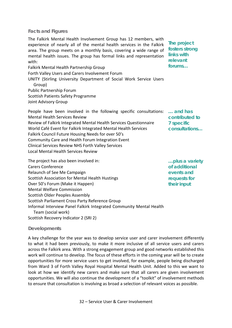#### **Facts and Figures**

The Falkirk Mental Health Involvement Group has 12 members, with experience of nearly all of the mental health services in the Falkirk area. The group meets on a monthly basis, covering a wide range of mental health issues. The group has formal links and representation with:

**The project fosters strong links with relevant forums…**

Falkirk Mental Health Partnership Group Forth Valley Users and Carers Involvement Forum UNITY (Stirling University Department of Social Work Service Users Group) Public Partnership Forum Scottish Patients Safety Programme Joint Advisory Group

People have been involved in the following specific consultations: **… and has**  Mental Health Services Review Review of Falkirk Integrated Mental Health Services Questionnaire World Café Event for Falkirk Integrated Mental Health Services Falkirk Council Future Housing Needs for over 50's Community Care and Health Forum Integration Event Clinical Services Review NHS Forth Valley Services Local Mental Health Services Review **contributed to 7 specific consultations…**

The project has also been involved in: Carers Conference Relaunch of See Me Campaign Scottish Association for Mental Health Hustings Over 50's Forum (Make it Happen) Mental Welfare Commission Scottish Older Peoples Assembly Scottish Parliament Cross Party Reference Group Informal Interview Panel Falkirk Integrated Community Mental Health Team (social work) Scottish Recovery Indicator 2 (SRI 2) **…plus a variety of additional events and requests for their input**

#### **Developments**

A key challenge for the year was to develop service user and carer involvement differently to what it had been previously, to make it more inclusive of all service users and carers across the Falkirk area. With a strong engagement group and good networks established this work will continue to develop. The focus of these efforts in the coming year will be to create opportunities for more service users to get involved, for example, people being discharged from Ward 3 of Forth Valley Royal Hospital Mental Health Unit. Added to this we want to look at how we identify new carers and make sure that all carers are given involvement opportunities. We will also continue the development of a "toolkit" of involvement methods to ensure that consultation is involving as broad a selection of relevant voices as possible.

32 – Service User & Carer Involvement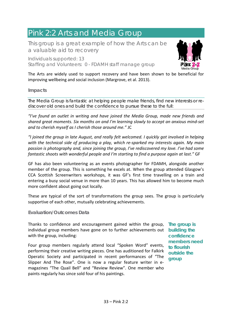# <span id="page-34-0"></span>Pink 2:2 Arts and Media Group

This group is a great example of how the Arts can be a valuable aid to recovery

Individuals supported: 13 Staffing and Volunteers: 0 - FDAMH staff manage group



The Arts are widely used to support recovery and have been shown to be beneficial for improving wellbeing and social inclusion (Margrove, et al. 2013).

#### **Impacts**

The Media Group is fantastic at helping people make friends, find new interests or rediscover old ones and build the confidence to pursue these to the full:

*"I've found an outlet in writing and have joined the Media Group, made new friends and shared great moments. Six months on and I'm learning slowly to accept an anxious mind-set and to cherish myself as I cherish those around me."* JC

*"I joined the group in late August, and really felt welcomed. I quickly got involved in helping with the technical side of producing a play, which re-sparked my interests again. My main passion is photography and, since joining the group, I've rediscovered my love. I've had some fantastic shoots with wonderful people and I'm starting to find a purpose again at last."* GF

GF has also been volunteering as an events photographer for FDAMH, alongside another member of the group. This is something he excels at. When the group attended Glasgow's CCA Scottish Screenwriters workshops, it was GF's first time travelling on a train and entering a busy social venue in more than 10 years. This has allowed him to become much more confident about going out locally.

These are typical of the sort of transformations the group sees. The group is particularly supportive of each other, mutually celebrating achievements.

#### **Evaluation/Outcomes Data**

Thanks to confidence and encouragement gained within the group, **The group is**  individual group members have gone on to further achievements out **building the**  with the group, including:

Four group members regularly attend local "Spoken Word" events, performing their creative writing pieces. One has auditioned for Falkirk Operatic Society and participated in recent performances of "The Slipper And The Rose". One is now a regular feature writer in emagazines "The Quail Bell" and "Review Review". One member who paints regularly has since sold four of his paintings.

**confidence members need to flourish outside the group**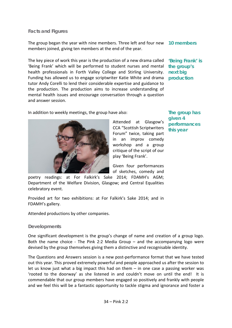#### **Facts and Figures**

The group began the year with nine members. Three left and four new **10 members** members joined, giving ten members at the end of the year.

The key piece of work this year is the production of a new drama called **'Being Frank' is**  'Being Frank' which will be performed to student nurses and mental **the group's**  health professionals in Forth Valley College and Stirling University. Funding has allowed us to engage scriptwriter Katie White and drama **production** tutor Andy Corelli to lend their considerable expertise and guidance to the production. The production aims to increase understanding of mental health issues and encourage conversation through a question and answer session.

**next big** 

In addition to weekly meetings, the group have also:



Attended at Glasgow's CCA "Scottish Scriptwriters Forum" twice, taking part in an improv comedy workshop and a group critique of the script of our play 'Being Frank'.

**The group has given 4 performances this year**

Given four performances of sketches, comedy and

poetry readings: at For Falkirk's Sake 2014; FDAMH's AGM; Department of the Welfare Division, Glasgow; and Central Equalities celebratory event.

Provided art for two exhibitions: at For Falkirk's Sake 2014; and in FDAMH's gallery.

Attended productions by other companies.

#### **Developments**

One significant development is the group's change of name and creation of a group logo. Both the name choice - The Pink 2:2 Media Group – and the accompanying logo were devised by the group themselves giving them a distinctive and recognisable identity.

The Questions and Answers session is a new post-performance format that we have tested out this year. This proved extremely powerful and people approached us after the session to let us know just what a big impact this had on them – in one case a passing worker was 'rooted to the doorway' as she listened in and couldn't move on until the end! It is commendable that our group members have engaged so positively and frankly with people and we feel this will be a fantastic opportunity to tackle stigma and ignorance and foster a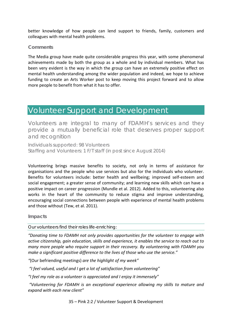better knowledge of how people can lend support to friends, family, customers and colleagues with mental health problems.

#### **Comments**

The Media group have made quite considerable progress this year, with some phenomenal achievements made by both the group as a whole and by individual members. What has been very evident is the way in which the group can have an extremely positive effect on mental health understanding among the wider population and indeed, we hope to achieve funding to create an Arts Worker post to keep moving this project forward and to allow more people to benefit from what it has to offer.

### <span id="page-36-0"></span>Volunteer Support and Development

Volunteers are integral to many of FDAMH's services and they provide a mutually beneficial role that deserves proper support and recognition

Individuals supported: 98 Volunteers Staffing and Volunteers: 1 F/T staff (in post since August 2014)

Volunteering brings massive benefits to society, not only in terms of assistance for organisations and the people who use services but also for the individuals who volunteer. Benefits for volunteers include: better health and wellbeing; improved self-esteem and social engagement; a greater sense of community; and learning new skills which can have a positive impact on career progression (Mundle et al. 2012). Added to this, volunteering also works in the heart of the community to reduce stigma and improve understanding, encouraging social connections between people with experience of mental health problems and those without (Tew, et al. 2011).

#### **Impacts**

Our volunteers find their roles life-enriching:

*"Donating time to FDAMH not only provides opportunities for the volunteer to engage with active citizenship, gain education, skills and experience, it enables the service to reach out to many more people who require support in their recovery. By volunteering with FDAMH you make a significant positive difference to the lives of those who use the service."*

*"*(Our befriending meetings) *are the highlight of my week"*

*"I feel valued, useful and I get a lot of satisfaction from volunteering"*

*"I feel my role as a volunteer is appreciated and I enjoy it immensely"*

*"Volunteering for FDAMH is an exceptional experience allowing my skills to mature and expand with each new client"*

35 – Pink 2:2 / Volunteer Support & Development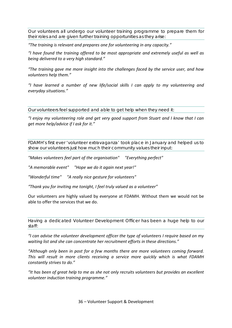Our volunteers all undergo our volunteer training programme to prepare them for their roles and are given further training opportunities as they arise:

*"The training is relevant and prepares one for volunteering in any capacity."*

*"I have found the training offered to be most appropriate and extremely useful as well as being delivered to a very high standard."*

*"The training gave me more insight into the challenges faced by the service user, and how volunteers help them."*

*"I have learned a number of new life/social skills I can apply to my volunteering and everyday situations."*

Our volunteers feel supported and able to get help when they need it:

*"I enjoy my volunteering role and get very good support from Stuart and I know that I can get more help/advice if I ask for it."*

FDAMH's first ever 'volunteer extravaganza' took place in January and helped us to show our volunteers just how much their community values their input:

*"Makes volunteers feel part of the organisation" "Everything perfect"*

*"A memorable event" "Hope we do it again next year!"*

*"Wonderful time" "A really nice gesture for volunteers"*

*"Thank you for inviting me tonight, I feel truly valued as a volunteer"*

Our volunteers are highly valued by everyone at FDAMH. Without them we would not be able to offer the services that we do.

Having a dedicated Volunteer Development Officer has been a huge help to our staff:

*"I can advise the volunteer development officer the type of volunteers I require based on my waiting list and she can concentrate her recruitment efforts in these directions."*

*"Although only been in post for a few months there are more volunteers coming forward. This will result in more clients receiving a service more quickly which is what FDAMH constantly strives to do."* 

*"It has been of great help to me as she not only recruits volunteers but provides an excellent volunteer induction training programme."*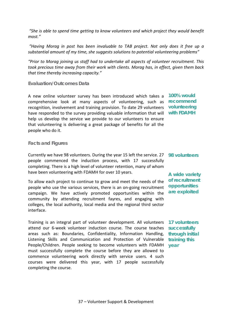*"She is able to spend time getting to know volunteers and which project they would benefit most."*

*"Having Morag in post has been invaluable to TAB project. Not only does it free up a substantial amount of my time, she suggests solutions to potential volunteering problems"*

*"Prior to Morag joining us staff had to undertake all aspects of volunteer recruitment. This took precious time away from their work with clients. Morag has, in effect, given them back that time thereby increasing capacity."*

#### **Evaluation/Outcomes Data**

A new online volunteer survey has been introduced which takes a **100% would**  comprehensive look at many aspects of volunteering, such as **recommend**  recognition, involvement and training provision. To date 29 volunteers **volunteering**  have responded to the survey providing valuable information that will **with FDAMH** help us develop the service we provide to our volunteers to ensure that volunteering is delivering a great package of benefits for all the people who do it.

#### **Facts and Figures**

Currently we have 98 volunteers. During the year 15 left the service. 27 **98 volunteers** people commenced the induction process, with 17 successfully completing. There is a high level of volunteer retention, many of whom have been volunteering with FDAMH for over 10 years.

To allow each project to continue to grow and meet the needs of the people who use the various services, there is an on-going recruitment campaign. We have actively promoted opportunities within the community by attending recruitment fayres, and engaging with colleges, the local authority, local media and the regional third sector interface.

Training is an integral part of volunteer development. All volunteers **17 volunteers**  attend our 6-week volunteer induction course. The course teaches **successfully**  areas such as: Boundaries, Confidentiality, Information Handling, Listening Skills and Communication and Protection of Vulnerable **training this**  People/Children. People seeking to become volunteers with FDAMH must successfully complete the course before they are allowed to commence volunteering work directly with service users. 4 such courses were delivered this year, with 17 people successfully completing the course.

**A wide variety of recruitment opportunities are exploited**

**through initial year**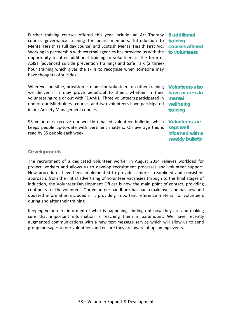Further training courses offered this year include: an Art Therapy **6 additional**  course, governance training for board members, Introduction to Mental Health (a full day course) and Scottish Mental Health First Aid. Working in partnership with external agencies has provided us with the **to volunteers** opportunity to offer additional training to volunteers in the form of ASIST (advanced suicide prevention training) and Safe Talk (a threehour training which gives the skills to recognise when someone may have thoughts of suicide).

Wherever possible, provision is made for volunteers on other training **Volunteers also**  we deliver if it may prove beneficial to them, whether in their volunteering role or out with FDAMH. Three volunteers participated in one of our Mindfulness courses and two volunteers have participated **wellbeing**  in our Anxiety Management courses.

93 volunteers receive our weekly emailed volunteer bulletin, which keeps people up-to-date with pertinent matters. On average this is **kept well**  read by 35 people each week.

**training courses offered** 

**have access to mental training**

**Volunteers are informed with a weekly bulletin** 

#### **Developments**

The recruitment of a dedicated volunteer worker in August 2014 relieves workload for project workers and allows us to develop recruitment processes and volunteer support. New procedures have been implemented to provide a more streamlined and consistent approach: from the initial advertising of volunteer vacancies through to the final stages of induction, the Volunteer Development Officer is now the main point of contact, providing continuity for the volunteer. Our volunteer handbook has had a makeover and has new and updated information included in it providing important reference material for volunteers during and after their training.

Keeping volunteers informed of what is happening, finding out how they are and making sure that important information is reaching them is paramount. We have recently augmented communications with a new text message service which will allow us to send group messages to our volunteers and ensure they are aware of upcoming events.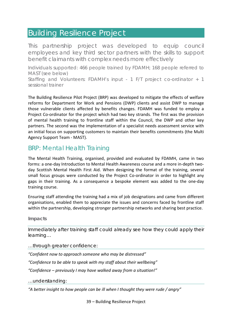### <span id="page-40-0"></span>Building Resilience Project

This partnership project was developed to equip council employees and key third sector partners with the skills to support benefit claimants with complex needs more effectively

Individuals supported: 466 people trained by FDAMH; 168 people referred to MAST (see below)

Staffing and Volunteers: FDAMH's input - 1 F/T project co-ordinator + 1 sessional trainer

The Building Resilience Pilot Project (BRP) was developed to mitigate the effects of welfare reforms for Department for Work and Pensions (DWP) clients and assist DWP to manage those vulnerable clients affected by benefits changes. FDAMH was funded to employ a Project Co-ordinator for the project which had two key strands. The first was the provision of mental health training to frontline staff within the Council, the DWP and other key partners. The second was the implementation of a specialist needs assessment service with an initial focus on supporting customers to maintain their benefits commitments (the Multi Agency Support Team - MAST).

### BRP: Mental Health Training

The Mental Health Training, organised, provided and evaluated by FDAMH, came in two forms: a one-day Introduction to Mental Health Awareness course and a more in-depth twoday Scottish Mental Health First Aid. When designing the format of the training, several small focus groups were conducted by the Project Co-ordinator in order to highlight any gaps in their training. As a consequence a bespoke element was added to the one-day training course.

Ensuring staff attending the training had a mix of job designations and came from different organisations, enabled them to appreciate the issues and concerns faced by frontline staff within the partnership, developing stronger partnership networks and sharing best practice.

#### **Impacts**

Immediately after training staff could already see how they could apply their learning…

…through greater confidence:

*"Confident now to approach someone who may be distressed"*

*"Confidence to be able to speak with my staff about their wellbeing"*

*"Confidence – previously I may have walked away from a situation!"*

…understanding:

*"A better insight to how people can be ill when I thought they were rude / angry"*

39 – Building Resilience Project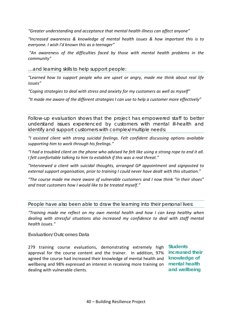*"Greater understanding and acceptance that mental health illness can affect anyone"*

*"Increased awareness & knowledge of mental health issues & how important this is to everyone. I wish I'd known this as a teenager"*

*"An awareness of the difficulties faced by those with mental health problems in the community"*

…and learning skills to help support people:

*"Learned how to support people who are upset or angry, made me think about real life issues"*

*"Coping strategies to deal with stress and anxiety for my customers as well as myself"*

*"It made me aware of the different strategies I can use to help a customer more effectively"*

Follow-up evaluation shows that the project has empowered staff to better understand issues experienced by customers with mental ill-health and identify and support customers with complex/multiple needs:

*"I assisted client with strong suicidal feelings. Felt confident discussing options available supporting him to work through his feelings."*

*"I had a troubled client on the phone who advised he felt like using a strong rope to end it all. I felt comfortable talking to him to establish if this was a real threat."*

*"Interviewed a client with suicidal thoughts, arranged GP appointment and signposted to external support organisation, prior to training I could never have dealt with this situation."*

*"The course made me more aware of vulnerable customers and I now think "in their shoes" and treat customers how I would like to be treated myself."*

People have also been able to draw the learning into their personal lives:

*"Training made me reflect on my own mental health and how I can keep healthy when dealing with stressful situations also increased my confidence to deal with staff mental health issues."*

**Evaluation/Outcomes Data**

279 training course evaluations, demonstrating extremely high **Students** approval for the course content and the trainer. In addition, 97% **increased their**  agreed the course had increased their knowledge of mental health and **knowledge of**  wellbeing and 98% expressed an interest in receiving more training on **mental health**  dealing with vulnerable clients.

**and wellbeing**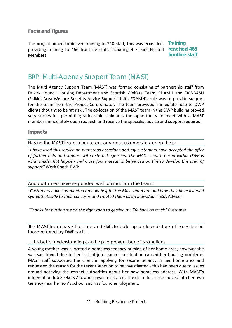**Facts and Figures**

The project aimed to deliver training to 210 staff, this was exceeded, **Training**  providing training to 466 frontline staff, including 9 Falkirk Elected **reached 466**  Members. **frontline staff**

### BRP: Multi-Agency Support Team (MAST)

The Multi Agency Support Team (MAST) was formed consisting of partnership staff from Falkirk Council Housing Department and Scottish Welfare Team, FDAMH and FAWBASU (Falkirk Area Welfare Benefits Advice Support Unit). FDAMH's role was to provide support for the team from the Project Co-ordinator. The team provided immediate help to DWP clients thought to be 'at risk'. The co-location of the MAST team in the DWP building proved very successful, permitting vulnerable claimants the opportunity to meet with a MAST member immediately upon request, and receive the specialist advice and support required.

#### **Impacts**

Having the MAST team in-house encourages customers to accept help:

*"I have used this service on numerous occasions and my customers have accepted the offer of further help and support with external agencies. The MAST service based within DWP is what made that happen and more focus needs to be placed on this to develop this area of support"* Work Coach DWP

And customers have responded well to input from the team:

*"Customers have commented on how helpful the Mast team are and how they have listened sympathetically to their concerns and treated them as an individual."* ESA Adviser

*"Thanks for putting me on the right road to getting my life back on track"* Customer

The MAST team have the time and skills to build up a clear picture of issues facing those referred by DWP staff…

…this better understanding can help to prevent benefits sanctions:

A young mother was allocated a homeless tenancy outside of her home area, however she was sanctioned due to her lack of job search – a situation caused her housing problems. MAST staff supported the client in applying for secure tenancy in her home area and requested the reason for the recent sanction to be investigated - this had been due to issues around notifying the correct authorities about her new homeless address. With MAST's intervention Job Seekers Allowance was reinstated. The client has since moved into her own tenancy near her son's school and has found employment.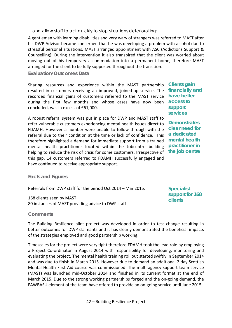#### …and allow staff to act quickly to stop situations deteriorating:

A gentleman with learning disabilities and very wary of strangers was referred to MAST after his DWP Advisor became concerned that he was developing a problem with alcohol due to stressful personal situations. MAST arranged appointment with ASC (Addictions Support & Counselling). During the intervention it also transpired that the client was worried about moving out of his temporary accommodation into a permanent home, therefore MAST arranged for the client to be fully supported throughout the transition.

#### **Evaluation/Outcomes Data**

Sharing resources and experience within the MAST partnership resulted in customers receiving an improved, joined-up service. The recorded financial gains of customers referred to the MAST service **have better**  during the first few months and whose cases have now been **access to**  concluded, was in excess of £61,000.

A robust referral system was put in place for DWP and MAST staff to refer vulnerable customers experiencing mental health issues direct to FDAMH. However a number were unable to follow through with the referral due to their condition at the time or lack of confidence. This therefore highlighted a demand for immediate support from a trained mental health practitioner located within the Jobcentre building helping to reduce the risk of crisis for some customers. Irrespective of this gap, 14 customers referred to FDAMH successfully engaged and have continued to receive appropriate support.

**Clients gain financially and support services**

**Demonstrates clear need for a dedicated mental health practitioner in the job centre**

#### **Facts and Figures**

Referrals from DWP staff for the period Oct 2014 – Mar 2015:

168 clients seen by MAST 80 instances of MAST providing advice to DWP staff

**Specialist support for 168 clients**

#### **Comments**

The Building Resilience pilot project was developed in order to test change resulting in better outcomes for DWP claimants and it has clearly demonstrated the beneficial impacts of the strategies employed and good partnership working.

Timescales for the project were very tight therefore FDAMH took the lead role by employing a Project Co-ordinator in August 2014 with responsibility for developing, monitoring and evaluating the project. The mental health training roll out started swiftly in September 2014 and was due to finish in March 2015. However due to demand an additional 2 day Scottish Mental Health First Aid course was commissioned. The multi-agency support team service (MAST) was launched mid-October 2014 and finished in its current format at the end of March 2015. Due to the strong working partnerships forged and the on-going demand, the FAWBASU element of the team have offered to provide an on-going service until June 2015.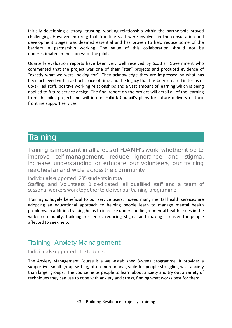Initially developing a strong, trusting, working relationship within the partnership proved challenging. However ensuring that frontline staff were involved in the consultation and development stages was deemed essential and has proven to help reduce some of the barriers in partnership working. The value of this collaboration should not be underestimated in the success of the pilot.

Quarterly evaluation reports have been very well received by Scottish Government who commented that the project was one of their "star" projects and produced evidence of "exactly what we were looking for". They acknowledge they are impressed by what has been achieved within a short space of time and the legacy that has been created in terms of up-skilled staff, positive working relationships and a vast amount of learning which is being applied to future service design. The final report on the project will detail all of the learning from the pilot project and will inform Falkirk Council's plans for future delivery of their frontline support services.

### <span id="page-44-0"></span>Training

Training is important in all areas of FDAMH's work, whether it be to improve self-management, reduce ignorance and stigma, increase understanding or educate our volunteers, our training reaches far and wide across the community

Individuals supported: 235 students in total

Staffing and Volunteers: 0 dedicated; all qualified staff and a team of sessional workers work together to deliver our training programme

Training is hugely beneficial to our service users, indeed many mental health services are adopting an educational approach to helping people learn to manage mental health problems. In addition training helps to increase understanding of mental health issues in the wider community, building resilience, reducing stigma and making it easier for people affected to seek help.

### Training: Anxiety Management

Individuals supported: 11 students

The Anxiety Management Course is a well-established 8-week programme. It provides a supportive, small-group setting, often more manageable for people struggling with anxiety than larger groups. The course helps people to learn about anxiety and try out a variety of techniques they can use to cope with anxiety and stress, finding what works best for them.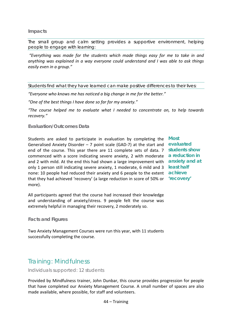#### **Impacts**

The small group and calm setting provides a supportive environment, helping people to engage with learning:

*"Everything was made for the students which made things easy for me to take in and anything was explained in a way everyone could understand and I was able to ask things easily even in a group."*

Students find what they have learned can make positive differences to their lives:

*"Everyone who knows me has noticed a big change in me for the better."*

*"One of the best things I have done so far for my anxiety."*

*"The course helped me to evaluate what I needed to concentrate on, to help towards recovery."*

#### **Evaluation/Outcomes Data**

Students are asked to participate in evaluation by completing the Generalised Anxiety Disorder – 7 point scale (GAD-7) at the start and **evaluated**  end of the course. This year there are 11 complete sets of data. 7 **students show**  commenced with a score indicating severe anxiety, 2 with moderate **a reduction in**  and 2 with mild. At the end this had shown a large improvement with **anxiety and at**  only 1 person still indicating severe anxiety, 1 moderate, 6 mild and 3 **least half**  none: 10 people had reduced their anxiety and 6 people to the extent **achieve**  that they had achieved 'recovery' (a large reduction in score of 50% or **'recovery'** more).

**Most**

All participants agreed that the course had increased their knowledge and understanding of anxiety/stress. 9 people felt the course was extremely helpful in managing their recovery, 2 moderately so.

**Facts and Figures**

Two Anxiety Management Courses were run this year, with 11 students successfully completing the course.

### Training: Mindfulness

Individuals supported: 12 students

Provided by Mindfulness trainer, John Dunbar, this course provides progression for people that have completed our Anxiety Management Course. A small number of spaces are also made available, where possible, for staff and volunteers.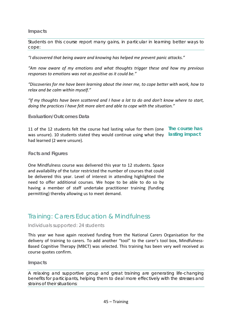#### **Impacts**

Students on this course report many gains, in particular in learning better ways to cope:

*"I discovered that being aware and knowing has helped me prevent panic attacks."*

*"Am now aware of my emotions and what thoughts trigger these and how my previous responses to emotions was not as positive as it could be."*

*"Discoveries for me have been learning about the inner me, to cope better with work, how to relax and be calm within myself."*

*"If my thoughts have been scattered and I have a lot to do and don't know where to start, doing the practices I have felt more alert and able to cope with the situation."*

#### **Evaluation/Outcomes Data**

11 of the 12 students felt the course had lasting value for them (one **The course has**  was unsure). 10 students stated they would continue using what they **lasting impact** had learned (2 were unsure).

#### **Facts and Figures**

One Mindfulness course was delivered this year to 12 students. Space and availability of the tutor restricted the number of courses that could be delivered this year. Level of interest in attending highlighted the need to offer additional courses. We hope to be able to do so by having a member of staff undertake practitioner training (funding permitting) thereby allowing us to meet demand.

### Training: Carers Education & Mindfulness

#### Individuals supported: 24 students

This year we have again received funding from the National Carers Organisation for the delivery of training to carers. To add another "tool" to the carer's tool box, Mindfulness-Based Cognitive Therapy (MBCT) was selected. This training has been very well received as course quotes confirm.

**Impacts**

A relaxing and supportive group and great training are generating life-changing benefits for participants, helping them to deal more effectively with the stresses and strains of their situations: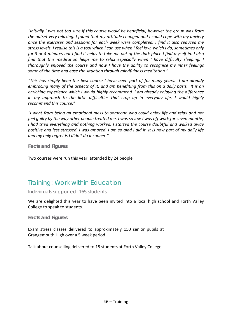*"Initially I was not too sure if this course would be beneficial, however the group was from the outset very relaxing. I found that my attitude changed and I could cope with my anxiety once the exercises and sessions for each week were completed. I find it also reduced my stress levels. I realise this is a tool which I can use when I feel low, which I do, sometimes only for 3 or 4 minutes but I find it helps to take me out of the dark place I find myself in. I also find that this meditation helps me to relax especially when I have difficulty sleeping. I thoroughly enjoyed the course and now I have the ability to recognise my inner feelings some of the time and ease the situation through mindfulness meditation."*

*"This has simply been the best course I have been part of for many years. I am already embracing many of the aspects of it, and am benefiting from this on a daily basis. It is an enriching experience which I would highly recommend. I am already enjoying the difference in my approach to the little difficulties that crop up in everyday life. I would highly recommend this course."*

*"I went from being an emotional mess to someone who could enjoy life and relax and not feel guilty by the way other people treated me. I was so low I was off work for seven months, I had tried everything and nothing worked. I started the course doubtful and walked away positive and less stressed. I was amazed. I am so glad I did it. It is now part of my daily life and my only regret is I didn't do it sooner."*

**Facts and Figures**

Two courses were run this year, attended by 24 people

### Training: Work within Education

Individuals supported: 165 students

We are delighted this year to have been invited into a local high school and Forth Valley College to speak to students.

**Facts and Figures**

Exam stress classes delivered to approximately 150 senior pupils at Grangemouth High over a 5 week period.

Talk about counselling delivered to 15 students at Forth Valley College.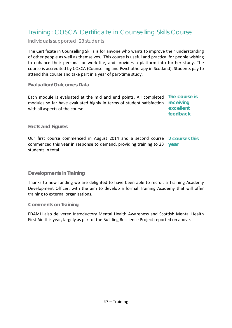### Training: COSCA Certificate in Counselling Skills Course

Individuals supported: 23 students

The Certificate in Counselling Skills is for anyone who wants to improve their understanding of other people as well as themselves. This course is useful and practical for people wishing to enhance their personal or work life, and provides a platform into further study. The course is accredited by COSCA (Counselling and Psychotherapy in Scotland). Students pay to attend this course and take part in a year of part-time study.

#### **Evaluation/Outcomes Data**

Each module is evaluated at the mid and end points. All completed **The course is**  modules so far have evaluated highly in terms of student satisfaction **receiving**  with all aspects of the course. **excellent feedback**

#### **Facts and Figures**

Our first course commenced in August 2014 and a second course **2 courses this**  commenced this year in response to demand, providing training to 23 **year** students in total.

#### **Developments in Training**

Thanks to new funding we are delighted to have been able to recruit a Training Academy Development Officer, with the aim to develop a formal Training Academy that will offer training to external organisations.

#### **Comments on Training**

FDAMH also delivered Introductory Mental Health Awareness and Scottish Mental Health First Aid this year, largely as part of the Building Resilience Project reported on above.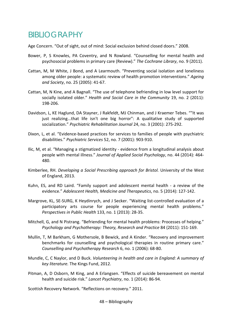## <span id="page-49-0"></span>BIBLIOGRAPHY

Age Concern. "Out of sight, out of mind: Social exclusion behind closed doors." 2008.

- Bower, P, S Knowles, PA Coventry, and N Rowland. "Counselling for mental health and psychosocial problems in primary care (Review)." *The Cochrane Library*, no. 9 (2011).
- Cattan, M, M White, J Bond, and A Learmouth. "Preventing social isolation and loneliness among older people: a systematic review of health promotion interventions." *Ageing and Society*, no. 25 (2005): 41-67.
- Cattan, M, N Kine, and A Bagnall. "The use of telephone befriending in low level support for socially isolated older." *Health and Social Care in the Community* 19, no. 2 (2011): 198-206.
- Davidson, L, KE Haglund, DA Stayner, J Rakfeldt, MJ Chinman, and J Kraemer Tebes. ""It was just realizing...that life isn't one big horror": A qualitative study of supported socialization." *Psychiatric Rehabilitation Journal* 24, no. 3 (2001): 275-292.
- Dixon, L, et al. "Evidence-based practices for services to families of people with psychiatric disabilities." *Psychiatric Services* 52, no. 7 (2001): 903-910.
- Ilic, M, et al. "Managing a stigmatized identity evidence from a longitudinal analysis about people with mental illness." *Journal of Applied Social Psychology*, no. 44 (2014): 464- 480.
- Kimberlee, RH. *Developing a Social Prescribing approach for Bristol.* University of the West of England, 2013.
- Kuhn, ES, and RD Laird. "Family support and adolescent mental health a review of the evidence." *Adolescent Health, Medicine and Therapeutics*, no. 5 (2014): 127-142.
- Margrove, KL, SE-SURG, K Heydinrych, and J Secker. "Waiting list-controlled evaluation of a participatory arts course for people experiencing mental health problems." *Perspectives in Public Health* 133, no. 1 (2013): 28-35.
- Mitchell, G, and N Pistrang. "Befriending for mental health problems: Processes of helping." *Psychology and Psychotherapy: Theory, Research and Practice* 84 (2011): 151-169.
- Mullin, T, M Barkham, G Mothersole, B Bewick, and A Kinder. "Recovery and improvement benchmarks for counselling and psychological therapies in routine primary care." *Counselling and Psychotherapy Research* 6, no. 1 (2006): 68-80.
- Mundle, C, C Naylor, and D Buck. *Volunteering in health and care in England: A summary of key literature.* The Kings Fund, 2012.
- Pitman, A, D Osborn, M King, and A Erlangsen. "Effects of suicide bereavement on mental health and suicide risk." *Lancet Psychiatry*, no. 1 (2014): 86-94.

Scottish Recovery Network. "Reflections on recovery." 2011.